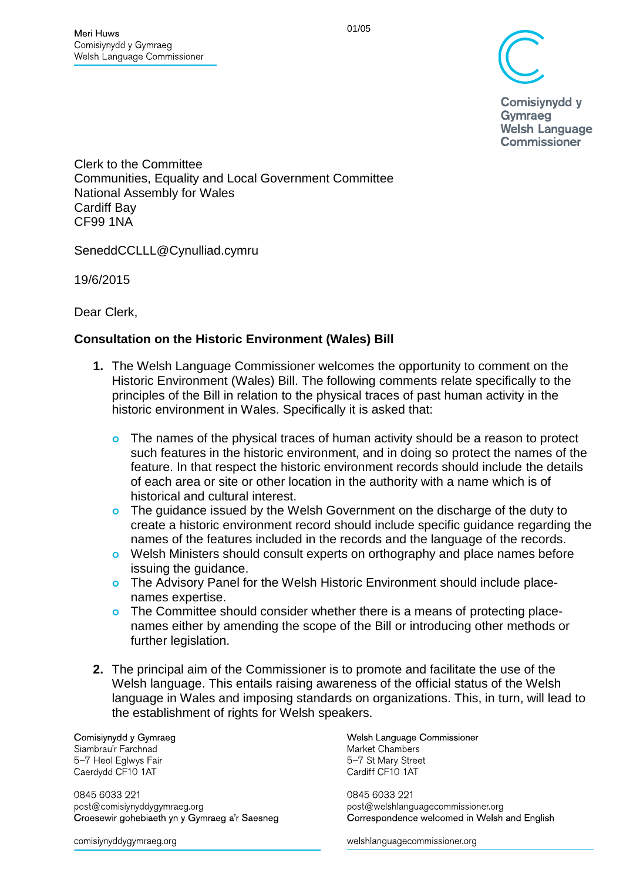

Comisiynydd y Gymraeg **Welsh Language Commissioner** 

Clerk to the Committee Communities, Equality and Local Government Committee National Assembly for Wales Cardiff Bay [CF99](mailto:publicserviceworkforce@wales.gsi.gov.uk) 1NA

SeneddCCLLL@Cynulliad.cymru

19/6/2015

Dear Clerk,

### **Consultation on the Historic Environment (Wales) Bill**

- **1.** The Welsh Language Commissioner welcomes the opportunity to comment on the Historic Environment (Wales) Bill. The following comments relate specifically to the principles of the Bill in relation to the physical traces of past human activity in the historic environment in Wales. Specifically it is asked that:
	- o The names of the physical traces of human activity should be a reason to protect such features in the historic environment, and in doing so protect the names of the feature. In that respect the historic environment records should include the details of each area or site or other location in the authority with a name which is of historical and cultural interest.
	- The guidance issued by the Welsh Government on the discharge of the duty to create a historic environment record should include specific guidance regarding the names of the features included in the records and the language of the records.
	- o Welsh Ministers should consult experts on orthography and place names before issuing the guidance.
	- o The Advisory Panel for the Welsh Historic Environment should include placenames expertise.
	- o The Committee should consider whether there is a means of protecting placenames either by amending the scope of the Bill or introducing other methods or further legislation.
- **2.** The principal aim of the Commissioner is to promote and facilitate the use of the Welsh language. This entails raising awareness of the official status of the Welsh language in Wales and imposing standards on organizations. This, in turn, will lead to the establishment of rights for Welsh speakers.

Comisiynydd y Gymraeg Siambrau'r Farchnad 5-7 Heol Eglwys Fair Caerdydd CF10 1AT

0845 6033 221 post@comisiynyddygymraeg.org Croesewir gohebiaeth yn y Gymraeg a'r Saesneg

comisiynyddygymraeg.org

Welsh Language Commissioner Market Chambers 5-7 St Mary Street Cardiff CF10 1AT

0845 6033 221 post@welshlanguagecommissioner.org Correspondence welcomed in Welsh and English

welshlanguagecommissioner.org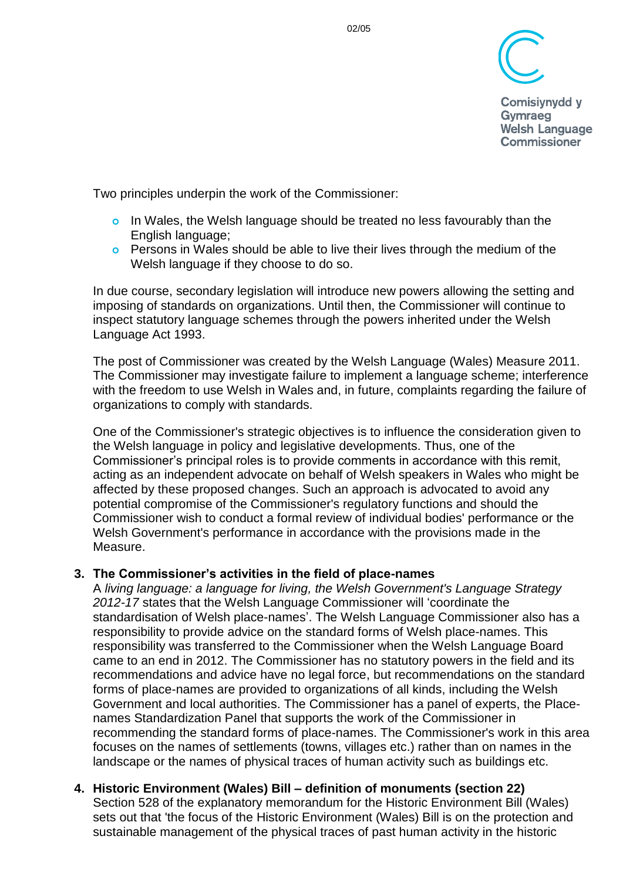

**Comisivnydd v** Gymraeg **Welsh Language Commissioner** 

Two principles underpin the work of the Commissioner:

- o In Wales, the Welsh language should be treated no less favourably than the English language;
- Persons in Wales should be able to live their lives through the medium of the Welsh language if they choose to do so.

In due course, secondary legislation will introduce new powers allowing the setting and imposing of standards on organizations. Until then, the Commissioner will continue to inspect statutory language schemes through the powers inherited under the Welsh Language Act 1993.

The post of Commissioner was created by the Welsh Language (Wales) Measure 2011. The Commissioner may investigate failure to implement a language scheme; interference with the freedom to use Welsh in Wales and, in future, complaints regarding the failure of organizations to comply with standards.

One of the Commissioner's strategic objectives is to influence the consideration given to the Welsh language in policy and legislative developments. Thus, one of the Commissioner's principal roles is to provide comments in accordance with this remit, acting as an independent advocate on behalf of Welsh speakers in Wales who might be affected by these proposed changes. Such an approach is advocated to avoid any potential compromise of the Commissioner's regulatory functions and should the Commissioner wish to conduct a formal review of individual bodies' performance or the Welsh Government's performance in accordance with the provisions made in the Measure.

### **3. The Commissioner's activities in the field of place-names**

A *living language: a language for living, the Welsh Government's Language Strategy 2012-17* states that the Welsh Language Commissioner will 'coordinate the standardisation of Welsh place-names'. The Welsh Language Commissioner also has a responsibility to provide advice on the standard forms of Welsh place-names. This responsibility was transferred to the Commissioner when the Welsh Language Board came to an end in 2012. The Commissioner has no statutory powers in the field and its recommendations and advice have no legal force, but recommendations on the standard forms of place-names are provided to organizations of all kinds, including the Welsh Government and local authorities. The Commissioner has a panel of experts, the Placenames Standardization Panel that supports the work of the Commissioner in recommending the standard forms of place-names. The Commissioner's work in this area focuses on the names of settlements (towns, villages etc.) rather than on names in the landscape or the names of physical traces of human activity such as buildings etc.

#### **4. Historic Environment (Wales) Bill – definition of monuments (section 22)** Section 528 of the explanatory memorandum for the Historic Environment Bill (Wales) sets out that 'the focus of the Historic Environment (Wales) Bill is on the protection and sustainable management of the physical traces of past human activity in the historic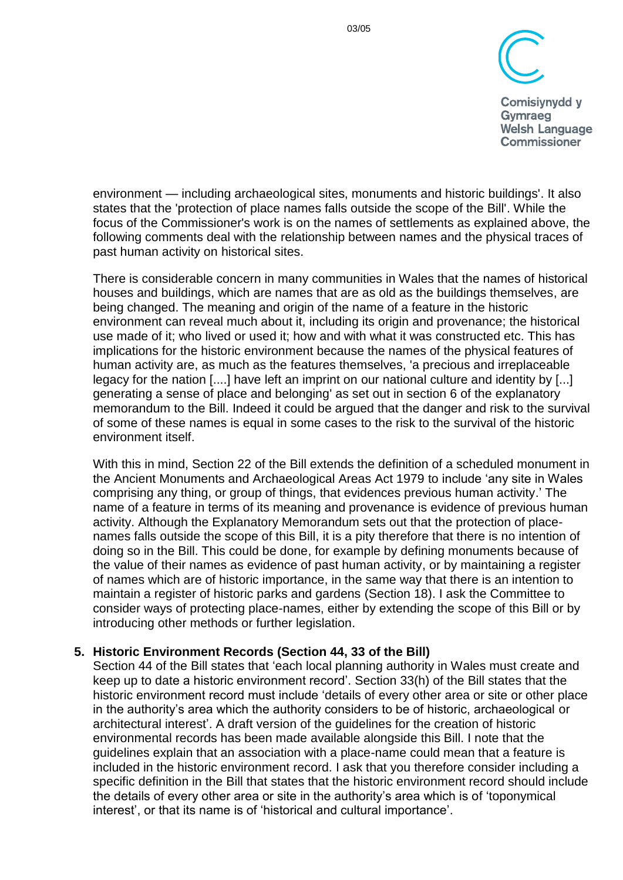

**Comisivnydd v** Gymraeg **Welsh Language Commissioner** 

environment — including archaeological sites, monuments and historic buildings'. It also states that the 'protection of place names falls outside the scope of the Bill'. While the focus of the Commissioner's work is on the names of settlements as explained above, the following comments deal with the relationship between names and the physical traces of past human activity on historical sites.

There is considerable concern in many communities in Wales that the names of historical houses and buildings, which are names that are as old as the buildings themselves, are being changed. The meaning and origin of the name of a feature in the historic environment can reveal much about it, including its origin and provenance; the historical use made of it; who lived or used it; how and with what it was constructed etc. This has implications for the historic environment because the names of the physical features of human activity are, as much as the features themselves, 'a precious and irreplaceable legacy for the nation [....] have left an imprint on our national culture and identity by [...] generating a sense of place and belonging' as set out in section 6 of the explanatory memorandum to the Bill. Indeed it could be argued that the danger and risk to the survival of some of these names is equal in some cases to the risk to the survival of the historic environment itself.

With this in mind, Section 22 of the Bill extends the definition of a scheduled monument in the Ancient Monuments and Archaeological Areas Act 1979 to include 'any site in Wales comprising any thing, or group of things, that evidences previous human activity.' The name of a feature in terms of its meaning and provenance is evidence of previous human activity. Although the Explanatory Memorandum sets out that the protection of placenames falls outside the scope of this Bill, it is a pity therefore that there is no intention of doing so in the Bill. This could be done, for example by defining monuments because of the value of their names as evidence of past human activity, or by maintaining a register of names which are of historic importance, in the same way that there is an intention to maintain a register of historic parks and gardens (Section 18). I ask the Committee to consider ways of protecting place-names, either by extending the scope of this Bill or by introducing other methods or further legislation.

### **5. Historic Environment Records (Section 44, 33 of the Bill)**

Section 44 of the Bill states that 'each local planning authority in Wales must create and keep up to date a historic environment record'. Section 33(h) of the Bill states that the historic environment record must include 'details of every other area or site or other place in the authority's area which the authority considers to be of historic, archaeological or architectural interest'. A draft version of the guidelines for the creation of historic environmental records has been made available alongside this Bill. I note that the guidelines explain that an association with a place-name could mean that a feature is included in the historic environment record. I ask that you therefore consider including a specific definition in the Bill that states that the historic environment record should include the details of every other area or site in the authority's area which is of 'toponymical interest', or that its name is of 'historical and cultural importance'.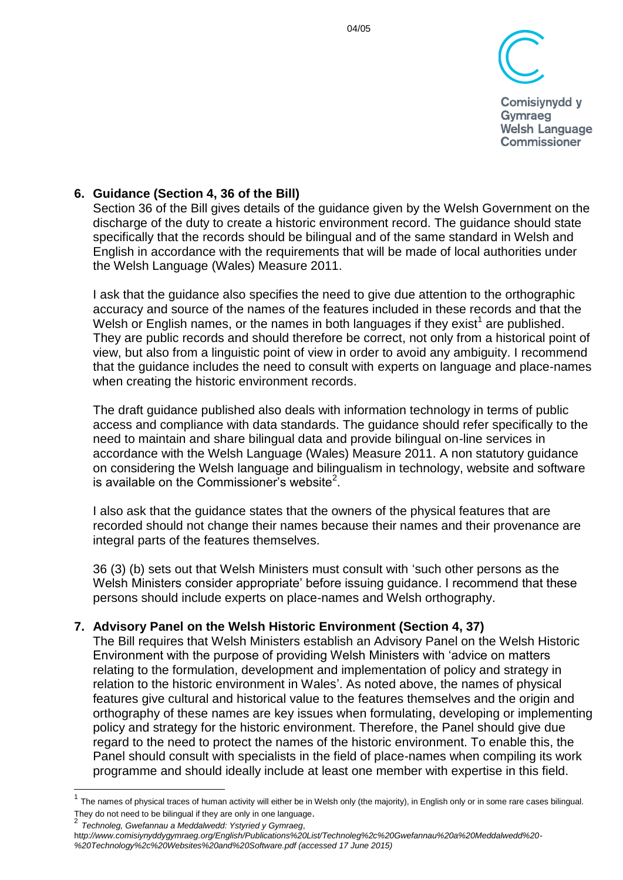

**Comisivnydd v** Gymraeg **Welsh Language Commissioner** 

# **6. Guidance (Section 4, 36 of the Bill)**

Section 36 of the Bill gives details of the guidance given by the Welsh Government on the discharge of the duty to create a historic environment record. The guidance should state specifically that the records should be bilingual and of the same standard in Welsh and English in accordance with the requirements that will be made of local authorities under the Welsh Language (Wales) Measure 2011.

I ask that the guidance also specifies the need to give due attention to the orthographic accuracy and source of the names of the features included in these records and that the Welsh or English names, or the names in both languages if they exist<sup>1</sup> are published. They are public records and should therefore be correct, not only from a historical point of view, but also from a linguistic point of view in order to avoid any ambiguity. I recommend that the guidance includes the need to consult with experts on language and place-names when creating the historic environment records.

The draft guidance published also deals with information technology in terms of public access and compliance with data standards. The guidance should refer specifically to the need to maintain and share bilingual data and provide bilingual on-line services in accordance with the Welsh Language (Wales) Measure 2011. A non statutory guidance on considering the Welsh language and bilingualism in technology, website and software is available on the Commissioner's website<sup>2</sup>.

I also ask that the guidance states that the owners of the physical features that are recorded should not change their names because their names and their provenance are integral parts of the features themselves.

36 (3) (b) sets out that Welsh Ministers must consult with 'such other persons as the Welsh Ministers consider appropriate' before issuing guidance. I recommend that these persons should include experts on place-names and Welsh orthography.

## **7. Advisory Panel on the Welsh Historic Environment (Section 4, 37)**

The Bill requires that Welsh Ministers establish an Advisory Panel on the Welsh Historic Environment with the purpose of providing Welsh Ministers with 'advice on matters relating to the formulation, development and implementation of policy and strategy in relation to the historic environment in Wales'. As noted above, the names of physical features give cultural and historical value to the features themselves and the origin and orthography of these names are key issues when formulating, developing or implementing policy and strategy for the historic environment. Therefore, the Panel should give due regard to the need to protect the names of the historic environment. To enable this, the Panel should consult with specialists in the field of place-names when compiling its work programme and should ideally include at least one member with expertise in this field.

2 *Technoleg, Gwefannau a Meddalwedd: Ystyried y Gymraeg*,

 $\overline{a}$ 

 $1$  The names of physical traces of human activity will either be in Welsh only (the majority), in English only or in some rare cases bilingual. They do not need to be bilingual if they are only in one language.

ht*tp://www.comisiynyddygymraeg.org/English/Publications%20List/Technoleg%2c%20Gwefannau%20a%20Meddalwedd%20- %20Technology%2c%20Websites%20and%20Software.pdf (accessed 17 June 2015)*